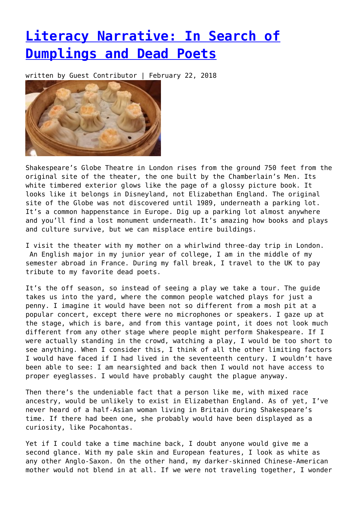## **[Literacy Narrative: In Search of](https://entropymag.org/literacy-narrative-in-search-of-dumplings-and-dead-poets-by-molly-montgomery/) [Dumplings and Dead Poets](https://entropymag.org/literacy-narrative-in-search-of-dumplings-and-dead-poets-by-molly-montgomery/)**

written by Guest Contributor | February 22, 2018



Shakespeare's Globe Theatre in London rises from the ground 750 feet from the original site of the theater, the one built by the Chamberlain's Men. Its white timbered exterior glows like the page of a glossy picture book. It looks like it belongs in Disneyland, not Elizabethan England. The original site of the Globe was not discovered until 1989, underneath a parking lot. It's a common happenstance in Europe. Dig up a parking lot almost anywhere and you'll find a lost monument underneath. It's amazing how books and plays and culture survive, but we can misplace entire buildings.

I visit the theater with my mother on a whirlwind three-day trip in London. An English major in my junior year of college, I am in the middle of my semester abroad in France. During my fall break, I travel to the UK to pay tribute to my favorite dead poets.

It's the off season, so instead of seeing a play we take a tour. The guide takes us into the yard, where the common people watched plays for just a penny. I imagine it would have been not so different from a mosh pit at a popular concert, except there were no microphones or speakers. I gaze up at the stage, which is bare, and from this vantage point, it does not look much different from any other stage where people might perform Shakespeare. If I were actually standing in the crowd, watching a play, I would be too short to see anything. When I consider this, I think of all the other limiting factors I would have faced if I had lived in the seventeenth century. I wouldn't have been able to see: I am nearsighted and back then I would not have access to proper eyeglasses. I would have probably caught the plague anyway.

Then there's the undeniable fact that a person like me, with mixed race ancestry, would be unlikely to exist in Elizabethan England. As of yet, I've never heard of a half-Asian woman living in Britain during Shakespeare's time. If there had been one, she probably would have been displayed as a curiosity, like Pocahontas.

Yet if I could take a time machine back, I doubt anyone would give me a second glance. With my pale skin and European features, I look as white as any other Anglo-Saxon. On the other hand, my darker-skinned Chinese-American mother would not blend in at all. If we were not traveling together, I wonder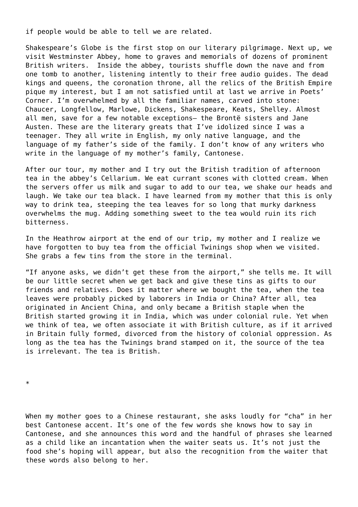if people would be able to tell we are related.

Shakespeare's Globe is the first stop on our literary pilgrimage. Next up, we visit Westminster Abbey, home to graves and memorials of dozens of prominent British writers. Inside the abbey, tourists shuffle down the nave and from one tomb to another, listening intently to their free audio guides. The dead kings and queens, the coronation throne, all the relics of the British Empire pique my interest, but I am not satisfied until at last we arrive in Poets' Corner. I'm overwhelmed by all the familiar names, carved into stone: Chaucer, Longfellow, Marlowe, Dickens, Shakespeare, Keats, Shelley. Almost all men, save for a few notable exceptions— the Brontë sisters and Jane Austen. These are the literary greats that I've idolized since I was a teenager. They all write in English, my only native language, and the language of my father's side of the family. I don't know of any writers who write in the language of my mother's family, Cantonese.

After our tour, my mother and I try out the British tradition of afternoon tea in the abbey's Cellarium. We eat currant scones with clotted cream. When the servers offer us milk and sugar to add to our tea, we shake our heads and laugh. We take our tea black. I have learned from my mother that this is only way to drink tea, steeping the tea leaves for so long that murky darkness overwhelms the mug. Adding something sweet to the tea would ruin its rich bitterness.

In the Heathrow airport at the end of our trip, my mother and I realize we have forgotten to buy tea from the official Twinings shop when we visited. She grabs a few tins from the store in the terminal.

"If anyone asks, we didn't get these from the airport," she tells me. It will be our little secret when we get back and give these tins as gifts to our friends and relatives. Does it matter where we bought the tea, when the tea leaves were probably picked by laborers in India or China? After all, tea originated in Ancient China, and only became a British staple when the British started growing it in India, which was under colonial rule. Yet when we think of tea, we often associate it with British culture, as if it arrived in Britain fully formed, divorced from the history of colonial oppression. As long as the tea has the Twinings brand stamped on it, the source of the tea is irrelevant. The tea is British.

\*

When my mother goes to a Chinese restaurant, she asks loudly for "cha" in her best Cantonese accent. It's one of the few words she knows how to say in Cantonese, and she announces this word and the handful of phrases she learned as a child like an incantation when the waiter seats us. It's not just the food she's hoping will appear, but also the recognition from the waiter that these words also belong to her.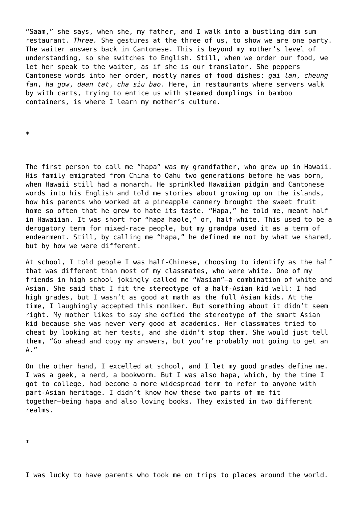"Saam," she says, when she, my father, and I walk into a bustling dim sum restaurant. *Three.* She gestures at the three of us, to show we are one party. The waiter answers back in Cantonese. This is beyond my mother's level of understanding, so she switches to English. Still, when we order our food, we let her speak to the waiter, as if she is our translator. She peppers Cantonese words into her order, mostly names of food dishes: *gai lan*, *cheung fan*, *ha gow*, *daan tat*, *cha siu bao*. Here, in restaurants where servers walk by with carts, trying to entice us with steamed dumplings in bamboo containers, is where I learn my mother's culture.

\*

The first person to call me "hapa" was my grandfather, who grew up in Hawaii. His family emigrated from China to Oahu two generations before he was born, when Hawaii still had a monarch. He sprinkled Hawaiian pidgin and Cantonese words into his English and told me stories about growing up on the islands, how his parents who worked at a pineapple cannery brought the sweet fruit home so often that he grew to hate its taste. "Hapa," he told me, meant half in Hawaiian. It was short for "hapa haole," or, half-white. This used to be a derogatory term for mixed-race people, but my grandpa used it as a term of endearment. Still, by calling me "hapa," he defined me not by what we shared, but by how we were different.

At school, I told people I was half-Chinese, choosing to identify as the half that was different than most of my classmates, who were white. One of my friends in high school jokingly called me "Wasian"—a combination of white and Asian. She said that I fit the stereotype of a half-Asian kid well: I had high grades, but I wasn't as good at math as the full Asian kids. At the time, I laughingly accepted this moniker. But something about it didn't seem right. My mother likes to say she defied the stereotype of the smart Asian kid because she was never very good at academics. Her classmates tried to cheat by looking at her tests, and she didn't stop them. She would just tell them, "Go ahead and copy my answers, but you're probably not going to get an A."

On the other hand, I excelled at school, and I let my good grades define me. I was a geek, a nerd, a bookworm. But I was also hapa, which, by the time I got to college, had become a more widespread term to refer to anyone with part-Asian heritage. I didn't know how these two parts of me fit together—being hapa and also loving books. They existed in two different realms.

I was lucky to have parents who took me on trips to places around the world.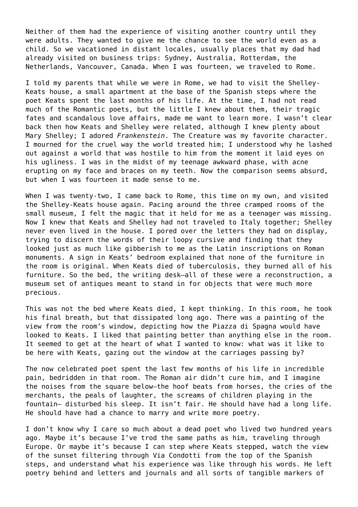Neither of them had the experience of visiting another country until they were adults. They wanted to give me the chance to see the world even as a child. So we vacationed in distant locales, usually places that my dad had already visited on business trips: Sydney, Australia, Rotterdam, the Netherlands, Vancouver, Canada. When I was fourteen, we traveled to Rome.

I told my parents that while we were in Rome, we had to visit the Shelley-Keats house, a small apartment at the base of the Spanish steps where the poet Keats spent the last months of his life. At the time, I had not read much of the Romantic poets, but the little I knew about them, their tragic fates and scandalous love affairs, made me want to learn more. I wasn't clear back then how Keats and Shelley were related, although I knew plenty about Mary Shelley; I adored *Frankenstein*. The Creature was my favorite character. I mourned for the cruel way the world treated him; I understood why he lashed out against a world that was hostile to him from the moment it laid eyes on his ugliness. I was in the midst of my teenage awkward phase, with acne erupting on my face and braces on my teeth. Now the comparison seems absurd, but when I was fourteen it made sense to me.

When I was twenty-two, I came back to Rome, this time on my own, and visited the Shelley-Keats house again. Pacing around the three cramped rooms of the small museum, I felt the magic that it held for me as a teenager was missing. Now I knew that Keats and Shelley had not traveled to Italy together; Shelley never even lived in the house. I pored over the letters they had on display, trying to discern the words of their loopy cursive and finding that they looked just as much like gibberish to me as the Latin inscriptions on Roman monuments. A sign in Keats' bedroom explained that none of the furniture in the room is original. When Keats died of tuberculosis, they burned all of his furniture. So the bed, the writing desk—all of these were a reconstruction, a museum set of antiques meant to stand in for objects that were much more precious.

This was not the bed where Keats died, I kept thinking. In this room, he took his final breath, but that dissipated long ago. There was a painting of the view from the room's window, depicting how the Piazza di Spagna would have looked to Keats. I liked that painting better than anything else in the room. It seemed to get at the heart of what I wanted to know: what was it like to be here with Keats, gazing out the window at the carriages passing by?

The now celebrated poet spent the last few months of his life in incredible pain, bedridden in that room. The Roman air didn't cure him, and I imagine the noises from the square below—the hoof beats from horses, the cries of the merchants, the peals of laughter, the screams of children playing in the fountain— disturbed his sleep. It isn't fair. He should have had a long life. He should have had a chance to marry and write more poetry.

I don't know why I care so much about a dead poet who lived two hundred years ago. Maybe it's because I've trod the same paths as him, traveling through Europe. Or maybe it's because I can step where Keats stepped, watch the view of the sunset filtering through Via Condotti from the top of the Spanish steps, and understand what his experience was like through his words. He left poetry behind and letters and journals and all sorts of tangible markers of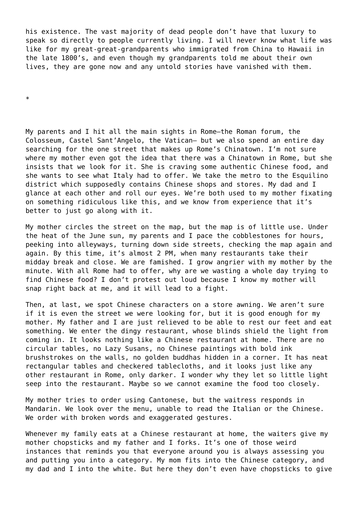his existence. The vast majority of dead people don't have that luxury to speak so directly to people currently living. I will never know what life was like for my great-great-grandparents who immigrated from China to Hawaii in the late 1800's, and even though my grandparents told me about their own lives, they are gone now and any untold stories have vanished with them.

\*

My parents and I hit all the main sights in Rome—the Roman forum, the Colosseum, Castel Sant'Angelo, the Vatican— but we also spend an entire day searching for the one street that makes up Rome's Chinatown. I'm not sure where my mother even got the idea that there was a Chinatown in Rome, but she insists that we look for it. She is craving some authentic Chinese food, and she wants to see what Italy had to offer. We take the metro to the Esquilino district which supposedly contains Chinese shops and stores. My dad and I glance at each other and roll our eyes. We're both used to my mother fixating on something ridiculous like this, and we know from experience that it's better to just go along with it.

My mother circles the street on the map, but the map is of little use. Under the heat of the June sun, my parents and I pace the cobblestones for hours, peeking into alleyways, turning down side streets, checking the map again and again. By this time, it's almost 2 PM, when many restaurants take their midday break and close. We are famished. I grow angrier with my mother by the minute. With all Rome had to offer, why are we wasting a whole day trying to find Chinese food? I don't protest out loud because I know my mother will snap right back at me, and it will lead to a fight.

Then, at last, we spot Chinese characters on a store awning. We aren't sure if it is even the street we were looking for, but it is good enough for my mother. My father and I are just relieved to be able to rest our feet and eat something. We enter the dingy restaurant, whose blinds shield the light from coming in. It looks nothing like a Chinese restaurant at home. There are no circular tables, no Lazy Susans, no Chinese paintings with bold ink brushstrokes on the walls, no golden buddhas hidden in a corner. It has neat rectangular tables and checkered tablecloths, and it looks just like any other restaurant in Rome, only darker. I wonder why they let so little light seep into the restaurant. Maybe so we cannot examine the food too closely.

My mother tries to order using Cantonese, but the waitress responds in Mandarin. We look over the menu, unable to read the Italian or the Chinese. We order with broken words and exaggerated gestures.

Whenever my family eats at a Chinese restaurant at home, the waiters give my mother chopsticks and my father and I forks. It's one of those weird instances that reminds you that everyone around you is always assessing you and putting you into a category. My mom fits into the Chinese category, and my dad and I into the white. But here they don't even have chopsticks to give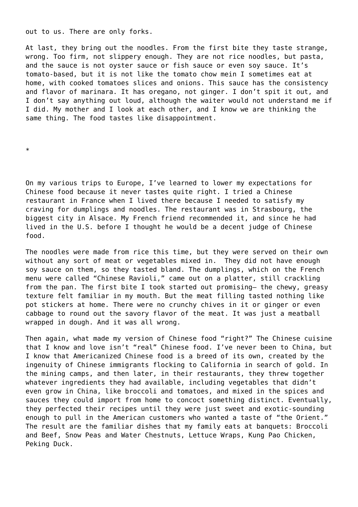out to us. There are only forks.

At last, they bring out the noodles. From the first bite they taste strange, wrong. Too firm, not slippery enough. They are not rice noodles, but pasta, and the sauce is not oyster sauce or fish sauce or even soy sauce. It's tomato-based, but it is not like the tomato chow mein I sometimes eat at home, with cooked tomatoes slices and onions. This sauce has the consistency and flavor of marinara. It has oregano, not ginger. I don't spit it out, and I don't say anything out loud, although the waiter would not understand me if I did. My mother and I look at each other, and I know we are thinking the same thing. The food tastes like disappointment.

\*

On my various trips to Europe, I've learned to lower my expectations for Chinese food because it never tastes quite right. I tried a Chinese restaurant in France when I lived there because I needed to satisfy my craving for dumplings and noodles. The restaurant was in Strasbourg, the biggest city in Alsace. My French friend recommended it, and since he had lived in the U.S. before I thought he would be a decent judge of Chinese food.

The noodles were made from rice this time, but they were served on their own without any sort of meat or vegetables mixed in. They did not have enough soy sauce on them, so they tasted bland. The dumplings, which on the French menu were called "Chinese Ravioli," came out on a platter, still crackling from the pan. The first bite I took started out promising— the chewy, greasy texture felt familiar in my mouth. But the meat filling tasted nothing like pot stickers at home. There were no crunchy chives in it or ginger or even cabbage to round out the savory flavor of the meat. It was just a meatball wrapped in dough. And it was all wrong.

Then again, what made my version of Chinese food "right?" The Chinese cuisine that I know and love isn't "real" Chinese food. I've never been to China, but I know that Americanized Chinese food is a breed of its own, created by the ingenuity of Chinese immigrants flocking to California in search of gold. In the mining camps, and then later, in their restaurants, they threw together whatever ingredients they had available, including vegetables that didn't even grow in China, like broccoli and tomatoes, and mixed in the spices and sauces they could import from home to concoct something distinct. Eventually, they perfected their recipes until they were just sweet and exotic-sounding enough to pull in the American customers who wanted a taste of "the Orient." The result are the familiar dishes that my family eats at banquets: Broccoli and Beef, Snow Peas and Water Chestnuts, Lettuce Wraps, Kung Pao Chicken, Peking Duck.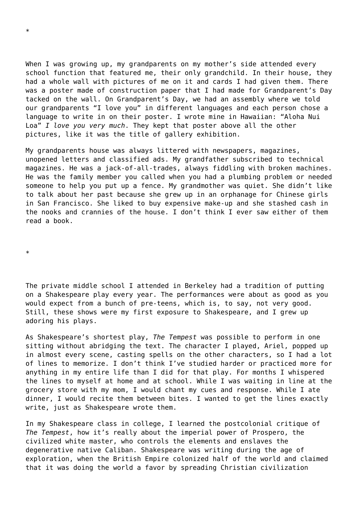When I was growing up, my grandparents on my mother's side attended every school function that featured me, their only grandchild. In their house, they had a whole wall with pictures of me on it and cards I had given them. There was a poster made of construction paper that I had made for Grandparent's Day tacked on the wall. On Grandparent's Day, we had an assembly where we told our grandparents "I love you" in different languages and each person chose a language to write in on their poster. I wrote mine in Hawaiian: "Aloha Nui Loa" *I love you very much*. They kept that poster above all the other pictures, like it was the title of gallery exhibition.

My grandparents house was always littered with newspapers, magazines, unopened letters and classified ads. My grandfather subscribed to technical magazines. He was a jack-of-all-trades, always fiddling with broken machines. He was the family member you called when you had a plumbing problem or needed someone to help you put up a fence. My grandmother was quiet. She didn't like to talk about her past because she grew up in an orphanage for Chinese girls in San Francisco. She liked to buy expensive make-up and she stashed cash in the nooks and crannies of the house. I don't think I ever saw either of them read a book.

\*

\*

The private middle school I attended in Berkeley had a tradition of putting on a Shakespeare play every year. The performances were about as good as you would expect from a bunch of pre-teens, which is, to say, not very good. Still, these shows were my first exposure to Shakespeare, and I grew up adoring his plays.

As Shakespeare's shortest play, *The Tempest* was possible to perform in one sitting without abridging the text. The character I played, Ariel, popped up in almost every scene, casting spells on the other characters, so I had a lot of lines to memorize. I don't think I've studied harder or practiced more for anything in my entire life than I did for that play. For months I whispered the lines to myself at home and at school. While I was waiting in line at the grocery store with my mom, I would chant my cues and response. While I ate dinner, I would recite them between bites. I wanted to get the lines exactly write, just as Shakespeare wrote them.

In my Shakespeare class in college, I learned the postcolonial critique of *The Tempest*, how it's really about the imperial power of Prospero, the civilized white master, who controls the elements and enslaves the degenerative native Caliban. Shakespeare was writing during the age of exploration, when the British Empire colonized half of the world and claimed that it was doing the world a favor by spreading Christian civilization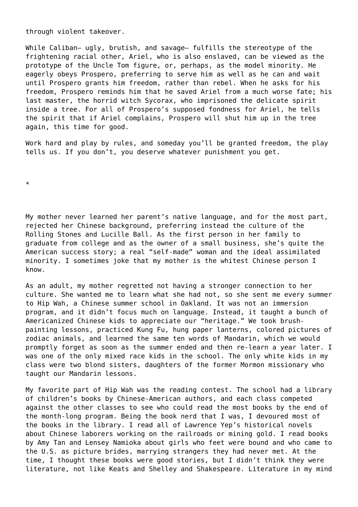through violent takeover.

While Caliban- ugly, brutish, and savage- fulfills the stereotype of the frightening racial other, Ariel, who is also enslaved, can be viewed as the prototype of the Uncle Tom figure, or, perhaps, as the model minority. He eagerly obeys Prospero, preferring to serve him as well as he can and wait until Prospero grants him freedom, rather than rebel. When he asks for his freedom, Prospero reminds him that he saved Ariel from a much worse fate; his last master, the horrid witch Sycorax, who imprisoned the delicate spirit inside a tree. For all of Prospero's supposed fondness for Ariel, he tells the spirit that if Ariel complains, Prospero will shut him up in the tree again, this time for good.

Work hard and play by rules, and someday you'll be granted freedom, the play tells us. If you don't, you deserve whatever punishment you get.

\*

My mother never learned her parent's native language, and for the most part, rejected her Chinese background, preferring instead the culture of the Rolling Stones and Lucille Ball. As the first person in her family to graduate from college and as the owner of a small business, she's quite the American success story; a real "self-made" woman and the ideal assimilated minority. I sometimes joke that my mother is the whitest Chinese person I know.

As an adult, my mother regretted not having a stronger connection to her culture. She wanted me to learn what she had not, so she sent me every summer to Hip Wah, a Chinese summer school in Oakland. It was not an immersion program, and it didn't focus much on language. Instead, it taught a bunch of Americanized Chinese kids to appreciate our "heritage." We took brushpainting lessons, practiced Kung Fu, hung paper lanterns, colored pictures of zodiac animals, and learned the same ten words of Mandarin, which we would promptly forget as soon as the summer ended and then re-learn a year later. I was one of the only mixed race kids in the school. The only white kids in my class were two blond sisters, daughters of the former Mormon missionary who taught our Mandarin lessons.

My favorite part of Hip Wah was the reading contest. The school had a library of children's books by Chinese-American authors, and each class competed against the other classes to see who could read the most books by the end of the month-long program. Being the book nerd that I was, I devoured most of the books in the library. I read all of Lawrence Yep's historical novels about Chinese laborers working on the railroads or mining gold. I read books by Amy Tan and Lensey Namioka about girls who feet were bound and who came to the U.S. as picture brides, marrying strangers they had never met. At the time, I thought these books were good stories, but I didn't think they were literature, not like Keats and Shelley and Shakespeare. Literature in my mind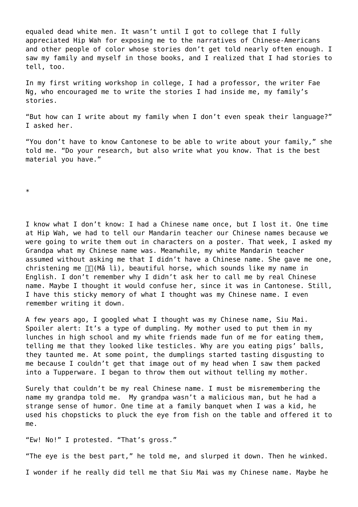equaled dead white men. It wasn't until I got to college that I fully appreciated Hip Wah for exposing me to the narratives of Chinese-Americans and other people of color whose stories don't get told nearly often enough. I saw my family and myself in those books, and I realized that I had stories to tell, too.

In my first writing workshop in college, I had a professor, the writer Fae Ng, who encouraged me to write the stories I had inside me, my family's stories.

"But how can I write about my family when I don't even speak their language?" I asked her.

"You don't have to know Cantonese to be able to write about your family," she told me. "Do your research, but also write what you know. That is the best material you have."

\*

I know what I don't know: I had a Chinese name once, but I lost it. One time at Hip Wah, we had to tell our Mandarin teacher our Chinese names because we were going to write them out in characters on a poster. That week, I asked my Grandpa what my Chinese name was. Meanwhile, my white Mandarin teacher assumed without asking me that I didn't have a Chinese name. She gave me one, christening me  $\Pi(M\breve{a} l\breve{l})$ , beautiful horse, which sounds like my name in English. I don't remember why I didn't ask her to call me by real Chinese name. Maybe I thought it would confuse her, since it was in Cantonese. Still, I have this sticky memory of what I thought was my Chinese name. I even remember writing it down.

A few years ago, I googled what I thought was my Chinese name, Siu Mai. Spoiler alert: It's a type of dumpling. My mother used to put them in my lunches in high school and my white friends made fun of me for eating them, telling me that they looked like testicles. Why are you eating pigs' balls, they taunted me. At some point, the dumplings started tasting disgusting to me because I couldn't get that image out of my head when I saw them packed into a Tupperware. I began to throw them out without telling my mother.

Surely that couldn't be my real Chinese name. I must be misremembering the name my grandpa told me. My grandpa wasn't a malicious man, but he had a strange sense of humor. One time at a family banquet when I was a kid, he used his chopsticks to pluck the eye from fish on the table and offered it to me.

"Ew! No!" I protested. "That's gross."

"The eye is the best part," he told me, and slurped it down. Then he winked.

I wonder if he really did tell me that Siu Mai was my Chinese name. Maybe he